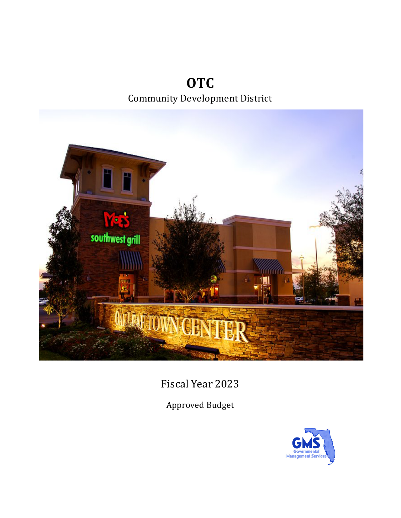**OTC** Community Development District



Fiscal Year 2023

Approved Budget

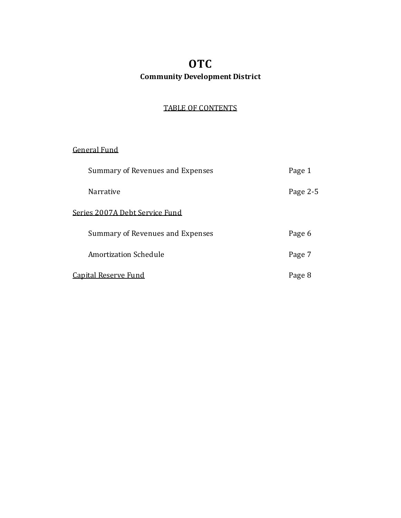## **OTC Community Development District**

## TABLE OF CONTENTS

## General Fund

| Summary of Revenues and Expenses | Page 1   |
|----------------------------------|----------|
| <b>Narrative</b>                 | Page 2-5 |
| Series 2007A Debt Service Fund   |          |
| Summary of Revenues and Expenses | Page 6   |
| Amortization Schedule            | Page 7   |
| Capital Reserve Fund             | Page 8   |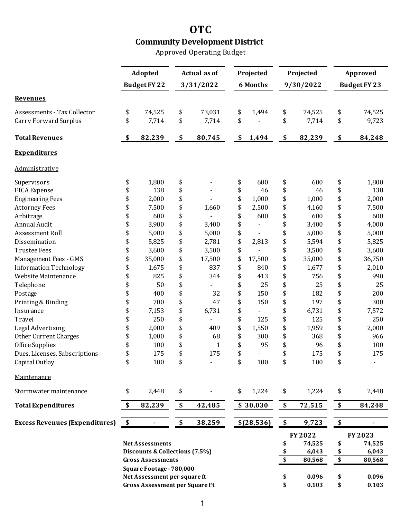# **OTC Community Development District**

Approved Operating Budget

|                                       | Adopted |                                       |    | <b>Actual as of</b> |    | Projected       |              | Approved                  |         |  |  |
|---------------------------------------|---------|---------------------------------------|----|---------------------|----|-----------------|--------------|---------------------------|---------|--|--|
|                                       |         |                                       |    |                     |    |                 | Projected    |                           |         |  |  |
|                                       |         | <b>Budget FY 22</b>                   |    | 3/31/2022           |    | <b>6 Months</b> | 9/30/2022    | <b>Budget FY 23</b>       |         |  |  |
| <b>Revenues</b>                       |         |                                       |    |                     |    |                 |              |                           |         |  |  |
| Assessments - Tax Collector           | \$      | 74,525                                | \$ | 73,031              | \$ | 1,494           | \$<br>74,525 | \$                        | 74,525  |  |  |
| Carry Forward Surplus                 | \$      | 7,714                                 | \$ | 7,714               | \$ |                 | \$<br>7,714  | \$                        | 9,723   |  |  |
| <b>Total Revenues</b>                 | \$      | 82,239                                | \$ | 80,745              | \$ | 1,494           | \$<br>82,239 | \$                        | 84,248  |  |  |
| <b>Expenditures</b>                   |         |                                       |    |                     |    |                 |              |                           |         |  |  |
| Administrative                        |         |                                       |    |                     |    |                 |              |                           |         |  |  |
| Supervisors                           | \$      | 1,800                                 | \$ |                     | \$ | 600             | \$<br>600    | \$                        | 1,800   |  |  |
| <b>FICA Expense</b>                   | \$      | 138                                   | \$ |                     | \$ | 46              | \$<br>46     | \$                        | 138     |  |  |
| <b>Engineering Fees</b>               | \$      | 2,000                                 | \$ |                     | \$ | 1,000           | \$<br>1,000  | \$                        | 2,000   |  |  |
| <b>Attorney Fees</b>                  | \$      | 7,500                                 | \$ | 1,660               | \$ | 2,500           | \$<br>4,160  | \$                        | 7,500   |  |  |
| Arbitrage                             | \$      | 600                                   | \$ |                     | \$ | 600             | \$<br>600    | \$                        | 600     |  |  |
| Annual Audit                          | \$      | 3,900                                 | \$ | 3,400               | \$ |                 | \$<br>3,400  | \$                        | 4,000   |  |  |
| Assessment Roll                       | \$      | 5,000                                 | \$ | 5,000               | \$ |                 | \$<br>5,000  | \$                        | 5,000   |  |  |
| Dissemination                         | \$      | 5,825                                 | \$ | 2,781               | \$ | 2,813           | \$<br>5,594  | \$                        | 5,825   |  |  |
| <b>Trustee Fees</b>                   | \$      | 3,600                                 | \$ | 3,500               | \$ |                 | \$<br>3,500  | \$                        | 3,600   |  |  |
| Management Fees - GMS                 | \$      | 35,000                                | \$ | 17,500              | \$ | 17,500          | \$<br>35,000 | \$                        | 36,750  |  |  |
| <b>Information Technology</b>         | \$      | 1,675                                 | \$ | 837                 | \$ | 840             | \$<br>1,677  | \$                        | 2,010   |  |  |
| Website Maintenance                   | \$      | 825                                   | \$ | 344                 | \$ | 413             | \$<br>756    | \$                        | 990     |  |  |
| Telephone                             | \$      | 50                                    | \$ |                     | \$ | 25              | \$<br>25     | \$                        | 25      |  |  |
| Postage                               | \$      | 400                                   | \$ | 32                  | \$ | 150             | \$<br>182    | \$                        | 200     |  |  |
| Printing & Binding                    | \$      | 700                                   | \$ | 47                  | \$ | 150             | \$<br>197    | \$                        | 300     |  |  |
| Insurance                             | \$      | 7,153                                 | \$ | 6,731               | \$ |                 | \$<br>6,731  | \$                        | 7,572   |  |  |
| Travel                                | \$      | 250                                   | \$ |                     | \$ | 125             | \$<br>125    | \$                        | 250     |  |  |
| Legal Advertising                     | \$      | 2,000                                 | \$ | 409                 | \$ | 1,550           | \$<br>1,959  | \$                        | 2,000   |  |  |
| <b>Other Current Charges</b>          | \$      | 1,000                                 | \$ | 68                  | \$ | 300             | \$<br>368    | \$                        | 966     |  |  |
| Office Supplies                       | \$      | 100                                   | \$ | $\mathbf{1}$        | \$ | 95              | \$<br>96     | \$                        | 100     |  |  |
| Dues, Licenses, Subscriptions         | \$      | 175                                   | \$ | 175                 | \$ |                 | \$<br>175    | \$                        | 175     |  |  |
| Capital Outlay                        | \$      | 100                                   | \$ |                     | \$ | 100             | \$<br>100    | \$                        |         |  |  |
| Maintenance                           |         |                                       |    |                     |    |                 |              |                           |         |  |  |
| Stormwater maintenance                | \$      | 2,448                                 | \$ |                     | \$ | 1,224           | \$<br>1,224  | \$                        | 2,448   |  |  |
| <b>Total Expenditures</b>             | \$      | 82,239                                | \$ | 42,485              |    | \$30,030        | \$<br>72,515 | \$                        | 84,248  |  |  |
| <b>Excess Revenues (Expenditures)</b> | \$      |                                       | \$ | 38,259              |    | \$(28, 536)     | \$<br>9,723  | \$                        |         |  |  |
|                                       |         |                                       |    |                     |    |                 | FY 2022      |                           | FY 2023 |  |  |
| <b>Net Assessments</b>                |         |                                       |    |                     |    |                 | \$<br>74,525 | \$                        | 74,525  |  |  |
|                                       |         | Discounts & Collections (7.5%)        |    |                     |    |                 | 6,043        | \$                        | 6,043   |  |  |
|                                       |         | <b>Gross Assessments</b>              |    |                     |    |                 | \$<br>80,568 | $\boldsymbol{\mathsf{S}}$ | 80,568  |  |  |
|                                       |         | Square Footage - 780,000              |    |                     |    |                 |              |                           |         |  |  |
|                                       |         | Net Assessment per square ft          |    |                     |    |                 | \$<br>0.096  | \$                        | 0.096   |  |  |
|                                       |         | <b>Gross Assessment per Square Ft</b> |    |                     |    |                 | \$<br>0.103  | \$                        | 0.103   |  |  |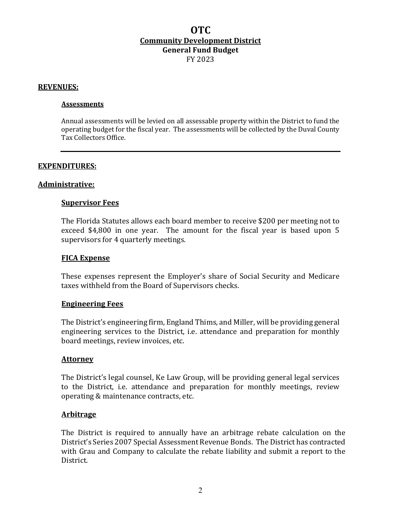#### **REVENUES:**

#### **Assessments**

Annual assessments will be levied on all assessable property within the District to fund the operating budget for the fiscal year. The assessments will be collected by the Duval County Tax Collectors Office.

#### **EXPENDITURES:**

#### **Administrative:**

#### **Supervisor Fees**

The Florida Statutes allows each board member to receive \$200 per meeting not to exceed  $$4,800$  in one year. The amount for the fiscal year is based upon 5 supervisors for 4 quarterly meetings.

#### **FICA Expense**

These expenses represent the Employer's share of Social Security and Medicare taxes withheld from the Board of Supervisors checks.

#### **Engineering Fees**

The District's engineering firm, England Thims, and Miller, will be providing general engineering services to the District, i.e. attendance and preparation for monthly board meetings, review invoices, etc.

#### **Attorney**

The District's legal counsel, Ke Law Group, will be providing general legal services to the District, i.e. attendance and preparation for monthly meetings, review operating & maintenance contracts, etc.

#### **Arbitrage**

The District is required to annually have an arbitrage rebate calculation on the District's Series 2007 Special Assessment Revenue Bonds. The District has contracted with Grau and Company to calculate the rebate liability and submit a report to the District.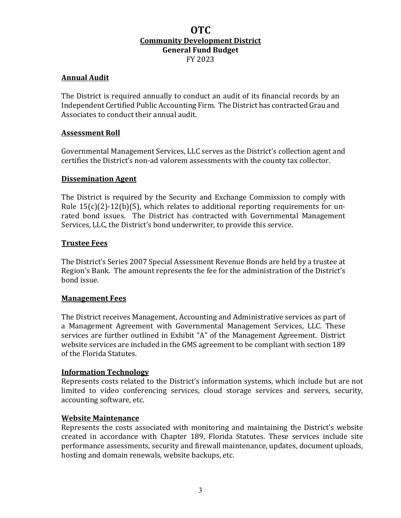## **Annual Audit**

The District is required annually to conduct an audit of its financial records by an Independent Certified Public Accounting Firm. The District has contracted Grau and Associates to conduct their annual audit.

### **Assessment Roll**

Governmental Management Services, LLC serves as the District's collection agent and certifies the District's non-ad valorem assessments with the county tax collector.

#### **Dissemination Agent**

The District is required by the Security and Exchange Commission to comply with Rule  $15(c)(2)-12(b)(5)$ , which relates to additional reporting requirements for unrated bond issues. The District has contracted with Governmental Management Services, LLC, the District's bond underwriter, to provide this service.

#### **Trustee Fees**

The District's Series 2007 Special Assessment Revenue Bonds are held by a trustee at Region's Bank. The amount represents the fee for the administration of the District's bond issue.

#### **Management Fees**

The District receives Management, Accounting and Administrative services as part of a Management Agreement with Governmental Management Services, LLC. These services are further outlined in Exhibit "A" of the Management Agreement. District website services are included in the GMS agreement to be compliant with section 189 of the Florida Statutes.

#### **Information Technology**

Represents costs related to the District's information systems, which include but are not limited to video conferencing services, cloud storage services and servers, security, accounting software, etc.

#### **Website Maintenance**

Represents the costs associated with monitoring and maintaining the District's website created in accordance with Chapter 189, Florida Statutes. These services include site performance assessments, security and firewall maintenance, updates, document uploads, hosting and domain renewals, website backups, etc.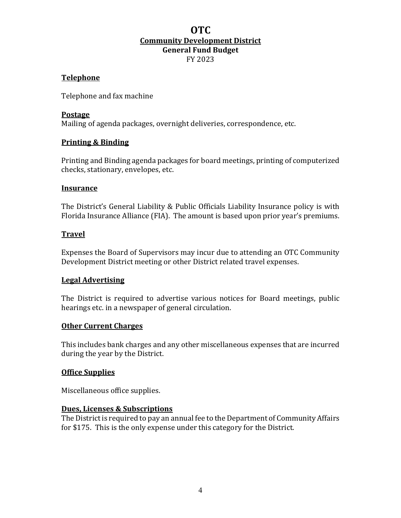#### **Telephone**

Telephone and fax machine

#### **Postage**

Mailing of agenda packages, overnight deliveries, correspondence, etc.

#### **Printing & Binding**

Printing and Binding agenda packages for board meetings, printing of computerized checks, stationary, envelopes, etc.

#### **Insurance**

The District's General Liability & Public Officials Liability Insurance policy is with Florida Insurance Alliance (FIA). The amount is based upon prior year's premiums.

#### **Travel**

Expenses the Board of Supervisors may incur due to attending an OTC Community Development District meeting or other District related travel expenses.

### **Legal Advertising**

The District is required to advertise various notices for Board meetings, public hearings etc. in a newspaper of general circulation.

#### **Other Current Charges**

This includes bank charges and any other miscellaneous expenses that are incurred during the year by the District.

#### **Office Supplies**

Miscellaneous office supplies.

#### **Dues, Licenses & Subscriptions**

The District is required to pay an annual fee to the Department of Community Affairs for \$175. This is the only expense under this category for the District.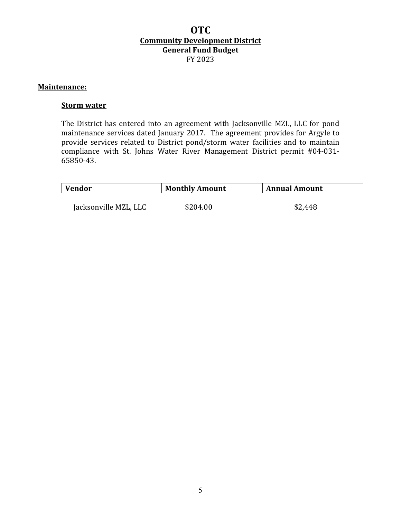#### **Maintenance:**

#### **Storm water**

The District has entered into an agreement with Jacksonville MZL, LLC for pond maintenance services dated January 2017. The agreement provides for Argyle to provide services related to District pond/storm water facilities and to maintain compliance with St. Johns Water River Management District permit #04-031-65850-43.

| \$204.00<br>\$2,448 |
|---------------------|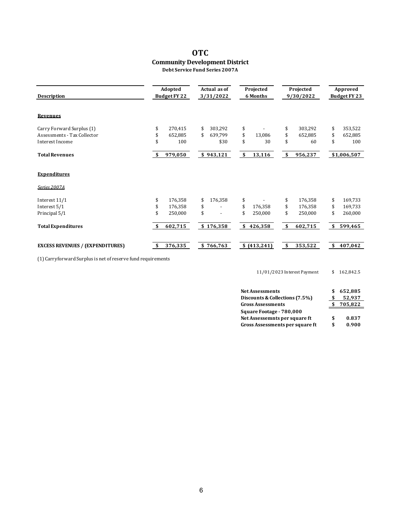#### **OTC Community Development District Debt Service Fund Series 2007A**

| <b>Description</b>                      |     | Adopted<br>Budget FY 22 | Actual as of<br>3/31/2022 | Projected<br>6 Months | Projected<br>9/30/2022 | Approved<br>Budget FY 23 |
|-----------------------------------------|-----|-------------------------|---------------------------|-----------------------|------------------------|--------------------------|
| Revenues                                |     |                         |                           |                       |                        |                          |
| Carry Forward Surplus (1)               | \$  | 270,415                 | \$<br>303.292             | \$                    | \$<br>303,292          | \$<br>353,522            |
| Assessments - Tax Collector             | \$  | 652,885                 | \$<br>639.799             | \$<br>13.086          | \$<br>652.885          | \$<br>652,885            |
| Interest Income                         |     | 100                     | \$30                      | \$<br>30              | \$<br>60               | \$<br>100                |
| <b>Total Revenues</b>                   | \$  | 979,050                 | \$943,121                 | \$<br>13,116          | \$<br>956,237          | \$1,006,507              |
| <b>Expenditures</b>                     |     |                         |                           |                       |                        |                          |
| Series 2007A                            |     |                         |                           |                       |                        |                          |
| Interest 11/1                           | \$  | 176,358                 | 176,358                   | \$                    | \$<br>176,358          | \$<br>169,733            |
| Interest 5/1                            | \$  | 176,358                 | \$                        | \$<br>176,358         | \$<br>176,358          | \$<br>169,733            |
| Principal 5/1                           |     | 250.000                 | \$                        | \$<br>250,000         | \$<br>250.000          | \$<br>260,000            |
| <b>Total Expenditures</b>               | -\$ | 602,715                 | \$176,358                 | \$<br>426,358         | \$<br>602,715          | \$<br>599,465            |
| <b>EXCESS REVENUES / (EXPENDITURES)</b> | \$  | 376,335                 | \$766,763                 | \$(413,241)           | \$<br>353,522          | \$<br>407,042            |

(1) Carryforward Surplus is net of reserve fund requirements

11/01/2023 Interest Payment \$ 162,842.5

| <b>Net Assessments</b>         | 652.885     |
|--------------------------------|-------------|
| Discounts & Collections (7.5%) | 52.937      |
| <b>Gross Assessments</b>       | 705,822     |
| Square Footage - 780,000       |             |
|                                |             |
| Net Assessemnts per square ft  | \$<br>0.837 |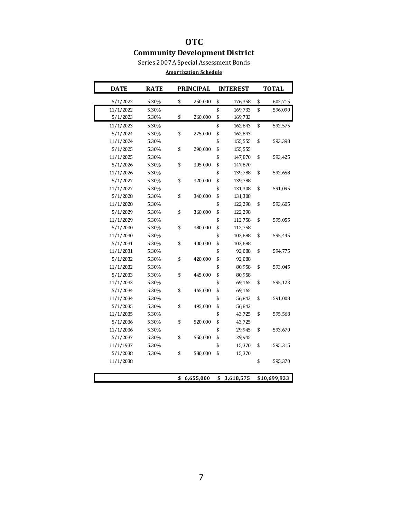## **OTC Community Development District**

Series 2007A Special Assessment Bonds

| Amortization Schedule |  |  |
|-----------------------|--|--|
|                       |  |  |

| <b>DATE</b> | <b>RATE</b> | <b>PRINCIPAL</b> | <b>INTEREST</b> | <b>TOTAL</b> |              |  |
|-------------|-------------|------------------|-----------------|--------------|--------------|--|
| 5/1/2022    | 5.30%       | \$<br>250,000    | \$<br>176,358   | \$           | 602,715      |  |
| 11/1/2022   | 5.30%       |                  | \$<br>169,733   |              | 596,090      |  |
| 5/1/2023    | 5.30%       | \$<br>260,000    | \$<br>169,733   |              |              |  |
| 11/1/2023   | 5.30%       |                  | \$<br>162,843   | \$           | 592,575      |  |
| 5/1/2024    | 5.30%       | \$<br>275,000    | \$<br>162,843   |              |              |  |
| 11/1/2024   | 5.30%       |                  | \$<br>155,555   | \$           | 593,398      |  |
| 5/1/2025    | 5.30%       | \$<br>290,000    | \$<br>155,555   |              |              |  |
| 11/1/2025   | 5.30%       |                  | \$<br>147,870   | \$           | 593,425      |  |
| 5/1/2026    | 5.30%       | \$<br>305,000    | \$<br>147,870   |              |              |  |
| 11/1/2026   | 5.30%       |                  | \$<br>139,788   | \$           | 592,658      |  |
| 5/1/2027    | 5.30%       | \$<br>320,000    | \$<br>139,788   |              |              |  |
| 11/1/2027   | 5.30%       |                  | \$<br>131,308   | \$           | 591,095      |  |
| 5/1/2028    | 5.30%       | \$<br>340,000    | \$<br>131,308   |              |              |  |
| 11/1/2028   | 5.30%       |                  | \$<br>122,298   | \$           | 593,605      |  |
| 5/1/2029    | 5.30%       | \$<br>360,000    | \$<br>122,298   |              |              |  |
| 11/1/2029   | 5.30%       |                  | \$<br>112,758   | \$           | 595,055      |  |
| 5/1/2030    | 5.30%       | \$<br>380,000    | \$<br>112,758   |              |              |  |
| 11/1/2030   | 5.30%       |                  | \$<br>102,688   | \$           | 595,445      |  |
| 5/1/2031    | 5.30%       | \$<br>400,000    | \$<br>102,688   |              |              |  |
| 11/1/2031   | 5.30%       |                  | \$<br>92,088    | \$           | 594,775      |  |
| 5/1/2032    | 5.30%       | \$<br>420,000    | \$<br>92,088    |              |              |  |
| 11/1/2032   | 5.30%       |                  | \$<br>80,958    | \$           | 593,045      |  |
| 5/1/2033    | 5.30%       | \$<br>445,000    | \$<br>80,958    |              |              |  |
| 11/1/2033   | 5.30%       |                  | \$<br>69,165    | \$           | 595,123      |  |
| 5/1/2034    | 5.30%       | \$<br>465,000    | \$<br>69,165    |              |              |  |
| 11/1/2034   | 5.30%       |                  | \$<br>56,843    |              | 591,008      |  |
| 5/1/2035    | 5.30%       | \$<br>495,000    | \$<br>56,843    |              |              |  |
| 11/1/2035   | 5.30%       |                  | \$<br>43,725    |              | 595,568      |  |
| 5/1/2036    | 5.30%       | \$<br>520,000    | \$<br>43,725    |              |              |  |
| 11/1/2036   | 5.30%       |                  | \$<br>29,945    |              | 593,670      |  |
| 5/1/2037    | 5.30%       | \$<br>550,000    | \$<br>29,945    |              |              |  |
| 11/1/1937   | 5.30%       |                  | \$<br>15,370    | \$           | 595,315      |  |
| 5/1/2038    | 5.30%       | \$<br>580,000    | \$<br>15,370    |              |              |  |
| 11/1/2038   |             |                  |                 |              | 595,370      |  |
|             |             | \$<br>6,655,000  | \$<br>3,618,575 |              | \$10,699,933 |  |